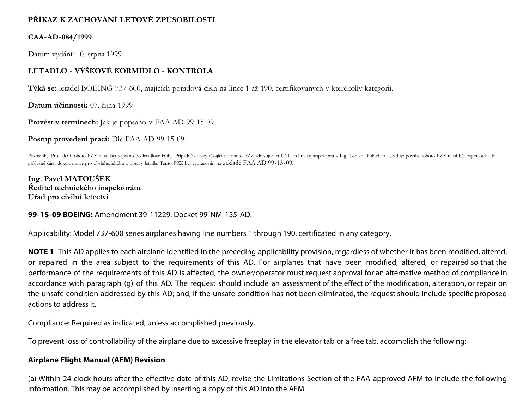# **PŘÍKAZ K ZACHOVÁNÍ LETOVÉ ZPŮSOBILOSTI**

## **CAA-AD-084/1999**

Datum vydání: 10. srpna 1999

# **LETADLO - VÝŠKOVÉ KORMIDLO - KONTROLA**

**Týká se:** letadel BOEING 737-600, majících pořadová čísla na lince 1 až 190, certifikovaných v kterékoliv kategorii.

**Datum účinnosti:** 07. října 1999

**Provést v termínech:** Jak je popsáno v FAA AD 99-15-09.

**Postup provedení prací:** Dle FAA AD 99-15-09.

Poznámky: Provedení tohoto PZZ musí být zapsáno do letadlové knihy. Případné dotazy týkající se tohoto PZZ adresujte na ÚCL technický inspektorát - Ing. Toman. Pokud to vyžaduje povaha tohoto PZZ musí být zapracován do příslušné části dokumentace pro obsluhu,údržbu a opravy letadla. Tento PZZ byl vypracován na základě FAA AD 99-15-09.

**Ing. Pavel MATOUŠEK Ředitel technického inspektorátu Úřad pro civilní letectví**

### **99-15-09 BOEING:** Amendment 39-11229. Docket 99-NM-155-AD.

Applicability: Model 737-600 series airplanes having line numbers 1 through 190, certificated in any category.

**NOTE 1**: This AD applies to each airplane identified in the preceding applicability provision, regardless of whether it has been modified, altered, or repaired in the area subject to the requirements of this AD. For airplanes that have been modified, altered, or repaired so that the performance of the requirements of this AD is affected, the owner/operator must request approval for an alternative method of compliance in accordance with paragraph (g) of this AD. The request should include an assessment of the effect of the modification, alteration, or repair on the unsafe condition addressed by this AD; and, if the unsafe condition has not been eliminated, the request should include specific proposed actions to address it.

Compliance: Required as indicated, unless accomplished previously.

To prevent loss of controllability of the airplane due to excessive freeplay in the elevator tab or a free tab, accomplish the following:

### **Airplane Flight Manual (AFM) Revision**

(a) Within 24 clock hours after the effective date of this AD, revise the Limitations Section of the FAA-approved AFM to include the following information. This may be accomplished by inserting a copy of this AD into the AFM.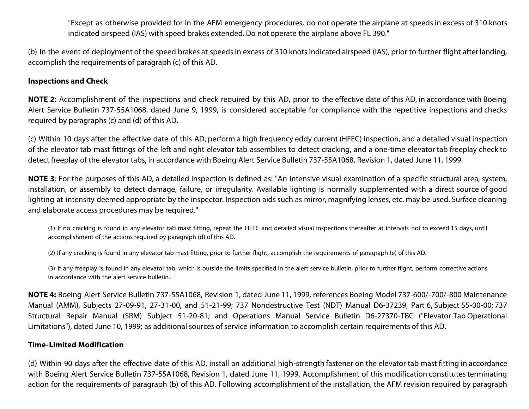"Except as otherwise provided for in the AFM emergency procedures, do not operate the airplane at speeds in excess of 310 knots indicated airspeed (IAS) with speed brakes extended. Do not operate the airplane above FL 390."

(b) In the event of deployment of the speed brakes at speeds in excess of 310 knots indicated airspeed (IAS), prior to further flight after landing, accomplish the requirements of paragraph (c) of this AD.

#### **Inspections and Check**

**NOTE 2**: Accomplishment of the inspections and check required by this AD, prior to the effective date of this AD, in accordance with Boeing Alert Service Bulletin 737-55A1068, dated June 9, 1999, is considered acceptable for compliance with the repetitive inspections and checks required by paragraphs (c) and (d) of this AD.

(c) Within 10 days after the effective date of this AD, perform a high frequency eddy current (HFEC) inspection, and a detailed visual inspection of the elevator tab mast fittings of the left and right elevator tab assemblies to detect cracking, and a one-time elevator tab freeplay check to detect freeplay of the elevator tabs, in accordance with Boeing Alert Service Bulletin 737-55A1068, Revision 1, dated June 11, 1999.

**NOTE 3**: For the purposes of this AD, a detailed inspection is defined as: "An intensive visual examination of a specific structural area, system, installation, or assembly to detect damage, failure, or irregularity. Available lighting is normally supplemented with a direct source of good lighting at intensity deemed appropriate by the inspector. Inspection aids such as mirror, magnifying lenses, etc. may be used. Surface cleaning and elaborate access procedures may be required."

(1) If no cracking is found in any elevator tab mast fitting, repeat the HFEC and detailed visual inspections thereafter at intervals not to exceed 15 days, until accomplishment of the actions required by paragraph (d) of this AD.

(2) If any cracking is found in any elevator tab mast fitting, prior to further flight, accomplish the requirements of paragraph (e) of this AD.

(3) If any freeplay is found in any elevator tab, which is outside the limits specified in the alert service bulletin, prior to further flight, perform corrective actions in accordance with the alert service bulletin.

**NOTE 4:** Boeing Alert Service Bulletin 737-55A1068, Revision 1, dated June 11, 1999, references Boeing Model 737-600/-700/-800 Maintenance Manual (AMM), Subjects 27-09-91, 27-31-00, and 51-21-99; 737 Nondestructive Test (NDT) Manual D6-37239, Part 6, Subject 55-00-00; 737 Structural Repair Manual (SRM) Subject 51-20-81; and Operations Manual Service Bulletin D6-27370-TBC ("Elevator Tab Operational Limitations"), dated June 10, 1999; as additional sources of service information to accomplish certain requirements of this AD.

#### **Time-Limited Modification**

(d) Within 90 days after the effective date of this AD, install an additional high-strength fastener on the elevator tab mast fitting in accordance with Boeing Alert Service Bulletin 737-55A1068, Revision 1, dated June 11, 1999. Accomplishment of this modification constitutes terminating action for the requirements of paragraph (b) of this AD. Following accomplishment of the installation, the AFM revision required by paragraph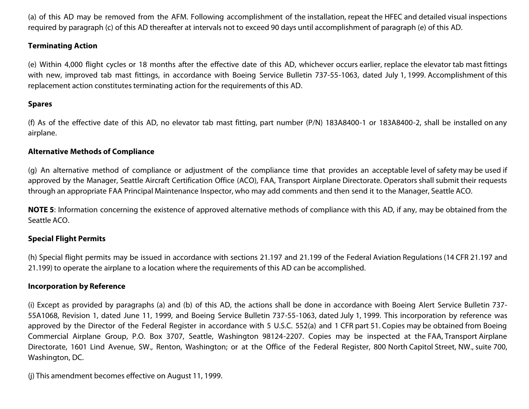(a) of this AD may be removed from the AFM. Following accomplishment of the installation, repeat the HFEC and detailed visual inspections required by paragraph (c) of this AD thereafter at intervals not to exceed 90 days until accomplishment of paragraph (e) of this AD.

#### **Terminating Action**

(e) Within 4,000 flight cycles or 18 months after the effective date of this AD, whichever occurs earlier, replace the elevator tab mast fittings with new, improved tab mast fittings, in accordance with Boeing Service Bulletin 737-55-1063, dated July 1, 1999. Accomplishment of this replacement action constitutes terminating action for the requirements of this AD.

#### **Spares**

(f) As of the effective date of this AD, no elevator tab mast fitting, part number (P/N) 183A8400-1 or 183A8400-2, shall be installed on any airplane.

#### **Alternative Methods of Compliance**

(g) An alternative method of compliance or adjustment of the compliance time that provides an acceptable level of safety may be used if approved by the Manager, Seattle Aircraft Certification Office (ACO), FAA, Transport Airplane Directorate. Operators shall submit their requests through an appropriate FAA Principal Maintenance Inspector, who may add comments and then send it to the Manager, Seattle ACO.

**NOTE 5**: Information concerning the existence of approved alternative methods of compliance with this AD, if any, may be obtained from the Seattle ACO.

#### **Special Flight Permits**

(h) Special flight permits may be issued in accordance with sections 21.197 and 21.199 of the Federal Aviation Regulations (14 CFR 21.197 and 21.199) to operate the airplane to a location where the requirements of this AD can be accomplished.

#### **Incorporation by Reference**

(i) Except as provided by paragraphs (a) and (b) of this AD, the actions shall be done in accordance with Boeing Alert Service Bulletin 737- 55A1068, Revision 1, dated June 11, 1999, and Boeing Service Bulletin 737-55-1063, dated July 1, 1999. This incorporation by reference was approved by the Director of the Federal Register in accordance with 5 U.S.C. 552(a) and 1 CFR part 51. Copies may be obtained from Boeing Commercial Airplane Group, P.O. Box 3707, Seattle, Washington 98124-2207. Copies may be inspected at the FAA, Transport Airplane Directorate, 1601 Lind Avenue, SW., Renton, Washington; or at the Office of the Federal Register, 800 North Capitol Street, NW., suite 700, Washington, DC.

(j) This amendment becomes effective on August 11, 1999.